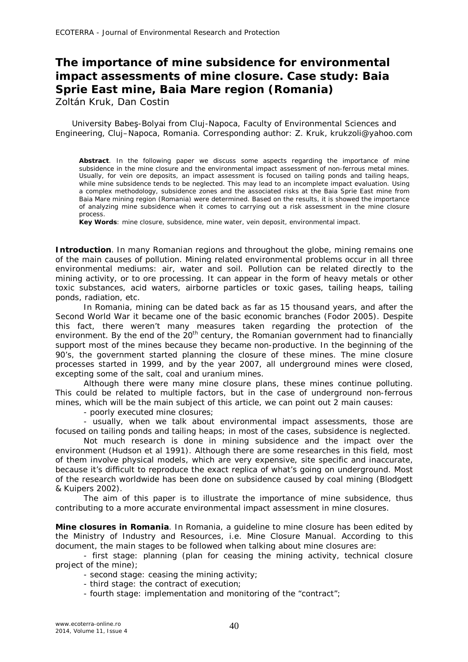## **The importance of mine subsidence for environmental impact assessments of mine closure. Case study: Baia Sprie East mine, Baia Mare region (Romania)**

Zoltán Kruk, Dan Costin

University Babeş-Bolyai from Cluj-Napoca, Faculty of Environmental Sciences and Engineering, Cluj–Napoca, Romania. Corresponding author: Z. Kruk, krukzoli@yahoo.com

**Abstract**. In the following paper we discuss some aspects regarding the importance of mine subsidence in the mine closure and the environmental impact assessment of non-ferrous metal mines. Usually, for vein ore deposits, an impact assessment is focused on tailing ponds and tailing heaps, while mine subsidence tends to be neglected. This may lead to an incomplete impact evaluation. Using a complex methodology, subsidence zones and the associated risks at the Baia Sprie East mine from Baia Mare mining region (Romania) were determined. Based on the results, it is showed the importance of analyzing mine subsidence when it comes to carrying out a risk assessment in the mine closure process.

**Key Words**: mine closure, subsidence, mine water, vein deposit, environmental impact.

**Introduction**. In many Romanian regions and throughout the globe, mining remains one of the main causes of pollution. Mining related environmental problems occur in all three environmental mediums: air, water and soil. Pollution can be related directly to the mining activity, or to ore processing. It can appear in the form of heavy metals or other toxic substances, acid waters, airborne particles or toxic gases, tailing heaps, tailing ponds, radiation, etc.

In Romania, mining can be dated back as far as 15 thousand years, and after the Second World War it became one of the basic economic branches (Fodor 2005). Despite this fact, there weren't many measures taken regarding the protection of the environment. By the end of the  $20<sup>th</sup>$  century, the Romanian government had to financially support most of the mines because they became non-productive. In the beginning of the 90's, the government started planning the closure of these mines. The mine closure processes started in 1999, and by the year 2007, all underground mines were closed, excepting some of the salt, coal and uranium mines.

Although there were many mine closure plans, these mines continue polluting. This could be related to multiple factors, but in the case of underground non-ferrous mines, which will be the main subject of this article, we can point out 2 main causes:

- poorly executed mine closures;

- usually, when we talk about environmental impact assessments, those are focused on tailing ponds and tailing heaps; in most of the cases, subsidence is neglected.

Not much research is done in mining subsidence and the impact over the environment (Hudson et al 1991). Although there are some researches in this field, most of them involve physical models, which are very expensive, site specific and inaccurate, because it's difficult to reproduce the exact replica of what's going on underground. Most of the research worldwide has been done on subsidence caused by coal mining (Blodgett & Kuipers 2002).

The aim of this paper is to illustrate the importance of mine subsidence, thus contributing to a more accurate environmental impact assessment in mine closures.

**Mine closures in Romania**. In Romania, a guideline to mine closure has been edited by the Ministry of Industry and Resources, i.e. Mine Closure Manual. According to this document, the main stages to be followed when talking about mine closures are:

- first stage: planning (plan for ceasing the mining activity, technical closure project of the mine);

- second stage: ceasing the mining activity;

- third stage: the contract of execution;
- fourth stage: implementation and monitoring of the "contract";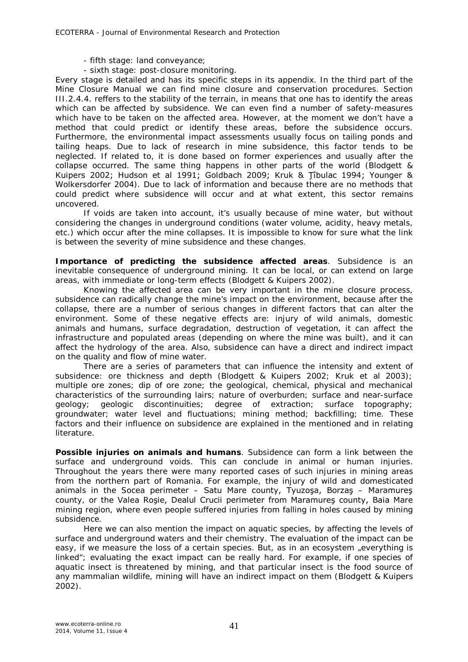- fifth stage: land conveyance;
- sixth stage: post-closure monitoring.

Every stage is detailed and has its specific steps in its appendix. In the third part of the Mine Closure Manual we can find mine closure and conservation procedures. Section III.2.4.4. reffers to the stability of the terrain, in means that one has to identify the areas which can be affected by subsidence. We can even find a number of safety-measures which have to be taken on the affected area. However, at the moment we don't have a method that could predict or identify these areas, before the subsidence occurs. Furthermore, the environmental impact assessments usually focus on tailing ponds and tailing heaps. Due to lack of research in mine subsidence, this factor tends to be neglected. If related to, it is done based on former experiences and usually after the collapse occurred. The same thing happens in other parts of the world (Blodgett & Kuipers 2002; Hudson et al 1991; Goldbach 2009; Kruk & Ţîbulac 1994; Younger & Wolkersdorfer 2004). Due to lack of information and because there are no methods that could predict where subsidence will occur and at what extent, this sector remains uncovered.

If voids are taken into account, it's usually because of mine water, but without considering the changes in underground conditions (water volume, acidity, heavy metals, etc.) which occur after the mine collapses. It is impossible to know for sure what the link is between the severity of mine subsidence and these changes.

**Importance of predicting the subsidence affected areas**. Subsidence is an inevitable consequence of underground mining. It can be local, or can extend on large areas, with immediate or long-term effects (Blodgett & Kuipers 2002).

Knowing the affected area can be very important in the mine closure process, subsidence can radically change the mine's impact on the environment, because after the collapse, there are a number of serious changes in different factors that can alter the environment. Some of these negative effects are: injury of wild animals, domestic animals and humans, surface degradation, destruction of vegetation, it can affect the infrastructure and populated areas (depending on where the mine was built), and it can affect the hydrology of the area. Also, subsidence can have a direct and indirect impact on the quality and flow of mine water.

There are a series of parameters that can influence the intensity and extent of subsidence: ore thickness and depth (Blodgett & Kuipers 2002; Kruk et al 2003); multiple ore zones; dip of ore zone; the geological, chemical, physical and mechanical characteristics of the surrounding lairs; nature of overburden; surface and near-surface geology; geologic discontinuities; degree of extraction; surface topography; groundwater; water level and fluctuations; mining method; backfilling; time. These factors and their influence on subsidence are explained in the mentioned and in relating literature.

*Possible injuries on animals and humans.* Subsidence can form a link between the surface and underground voids. This can conclude in animal or human injuries. Throughout the years there were many reported cases of such injuries in mining areas from the northern part of Romania. For example, the injury of wild and domesticated animals in the Socea perimeter – Satu Mare county, Tyuzoşa, Borzaş – Maramureş county, or the Valea Roşie, Dealul Crucii perimeter from Maramureş county, Baia Mare mining region, where even people suffered injuries from falling in holes caused by mining subsidence.

Here we can also mention the impact on aquatic species, by affecting the levels of surface and underground waters and their chemistry. The evaluation of the impact can be easy, if we measure the loss of a certain species. But, as in an ecosystem "everything is linked"; evaluating the exact impact can be really hard. For example, if one species of aquatic insect is threatened by mining, and that particular insect is the food source of any mammalian wildlife, mining will have an indirect impact on them (Blodgett & Kuipers 2002).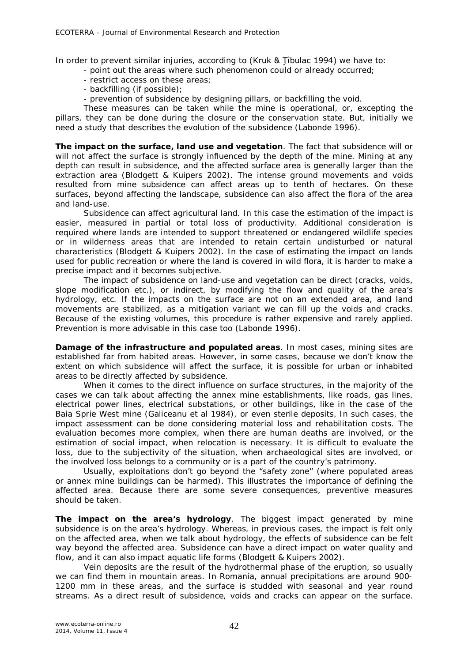In order to prevent similar injuries, according to (Kruk & Tibulac 1994) we have to:

- point out the areas where such phenomenon could or already occurred;
- restrict access on these areas;
- backfilling (if possible);
- prevention of subsidence by designing pillars, or backfilling the void.

These measures can be taken while the mine is operational, or, excepting the pillars, they can be done during the closure or the conservation state. But, initially we need a study that describes the evolution of the subsidence (Labonde 1996).

*The impact on the surface, land use and vegetation.* The fact that subsidence will or will not affect the surface is strongly influenced by the depth of the mine. Mining at any depth can result in subsidence, and the affected surface area is generally larger than the extraction area (Blodgett & Kuipers 2002). The intense ground movements and voids resulted from mine subsidence can affect areas up to tenth of hectares. On these surfaces, beyond affecting the landscape, subsidence can also affect the flora of the area and land-use.

Subsidence can affect agricultural land. In this case the estimation of the impact is easier, measured in partial or total loss of productivity. Additional consideration is required where lands are intended to support threatened or endangered wildlife species or in wilderness areas that are intended to retain certain undisturbed or natural characteristics (Blodgett & Kuipers 2002). In the case of estimating the impact on lands used for public recreation or where the land is covered in wild flora, it is harder to make a precise impact and it becomes subjective.

The impact of subsidence on land-use and vegetation can be direct (cracks, voids, slope modification etc.), or indirect, by modifying the flow and quality of the area's hydrology, etc. If the impacts on the surface are not on an extended area, and land movements are stabilized, as a mitigation variant we can fill up the voids and cracks. Because of the existing volumes, this procedure is rather expensive and rarely applied. Prevention is more advisable in this case too (Labonde 1996).

*Damage of the infrastructure and populated areas.* In most cases, mining sites are established far from habited areas. However, in some cases, because we don't know the extent on which subsidence will affect the surface, it is possible for urban or inhabited areas to be directly affected by subsidence.

When it comes to the direct influence on surface structures, in the majority of the cases we can talk about affecting the annex mine establishments, like roads, gas lines, electrical power lines, electrical substations, or other buildings, like in the case of the Baia Sprie West mine (Galiceanu et al 1984), or even sterile deposits, In such cases, the impact assessment can be done considering material loss and rehabilitation costs. The evaluation becomes more complex, when there are human deaths are involved, or the estimation of social impact, when relocation is necessary. It is difficult to evaluate the loss, due to the subjectivity of the situation, when archaeological sites are involved, or the involved loss belongs to a community or is a part of the country's patrimony.

Usually, exploitations don't go beyond the "safety zone" (where populated areas or annex mine buildings can be harmed). This illustrates the importance of defining the affected area. Because there are some severe consequences, preventive measures should be taken.

*The impact on the area's hydrology.* The biggest impact generated by mine subsidence is on the area's hydrology. Whereas, in previous cases, the impact is felt only on the affected area, when we talk about hydrology, the effects of subsidence can be felt way beyond the affected area. Subsidence can have a direct impact on water quality and flow, and it can also impact aquatic life forms (Blodgett & Kuipers 2002).

Vein deposits are the result of the hydrothermal phase of the eruption, so usually we can find them in mountain areas. In Romania, annual precipitations are around 900- 1200 mm in these areas, and the surface is studded with seasonal and year round streams. As a direct result of subsidence, voids and cracks can appear on the surface.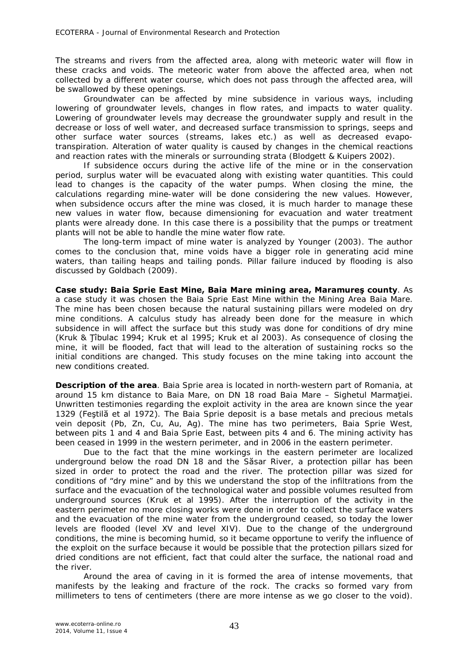The streams and rivers from the affected area, along with meteoric water will flow in these cracks and voids. The meteoric water from above the affected area, when not collected by a different water course, which does not pass through the affected area, will be swallowed by these openings.

Groundwater can be affected by mine subsidence in various ways, including lowering of groundwater levels, changes in flow rates, and impacts to water quality. Lowering of groundwater levels may decrease the groundwater supply and result in the decrease or loss of well water, and decreased surface transmission to springs, seeps and other surface water sources (streams, lakes etc.) as well as decreased evapotranspiration. Alteration of water quality is caused by changes in the chemical reactions and reaction rates with the minerals or surrounding strata (Blodgett & Kuipers 2002).

If subsidence occurs during the active life of the mine or in the conservation period, surplus water will be evacuated along with existing water quantities. This could lead to changes is the capacity of the water pumps. When closing the mine, the calculations regarding mine-water will be done considering the new values. However, when subsidence occurs after the mine was closed, it is much harder to manage these new values in water flow, because dimensioning for evacuation and water treatment plants were already done. In this case there is a possibility that the pumps or treatment plants will not be able to handle the mine water flow rate.

The long-term impact of mine water is analyzed by Younger (2003). The author comes to the conclusion that, mine voids have a bigger role in generating acid mine waters, than tailing heaps and tailing ponds. Pillar failure induced by flooding is also discussed by Goldbach (2009).

**Case study: Baia Sprie East Mine, Baia Mare mining area, Maramureş county**. As a case study it was chosen the Baia Sprie East Mine within the Mining Area Baia Mare. The mine has been chosen because the natural sustaining pillars were modeled on dry mine conditions. A calculus study has already been done for the measure in which subsidence in will affect the surface but this study was done for conditions of dry mine (Kruk & Ţîbulac 1994; Kruk et al 1995; Kruk et al 2003). As consequence of closing the mine, it will be flooded, fact that will lead to the alteration of sustaining rocks so the initial conditions are changed. This study focuses on the mine taking into account the new conditions created.

**Description of the area**. Baia Sprie area is located in north-western part of Romania, at around 15 km distance to Baia Mare, on DN 18 road Baia Mare – Sighetul Marmatiei. Unwritten testimonies regarding the exploit activity in the area are known since the year 1329 (Feştilă et al 1972). The Baia Sprie deposit is a base metals and precious metals vein deposit (Pb, Zn, Cu, Au, Ag). The mine has two perimeters, Baia Sprie West, between pits 1 and 4 and Baia Sprie East, between pits 4 and 6. The mining activity has been ceased in 1999 in the western perimeter, and in 2006 in the eastern perimeter.

Due to the fact that the mine workings in the eastern perimeter are localized underground below the road DN 18 and the Săsar River, a protection pillar has been sized in order to protect the road and the river. The protection pillar was sized for conditions of "dry mine" and by this we understand the stop of the infiltrations from the surface and the evacuation of the technological water and possible volumes resulted from underground sources (Kruk et al 1995). After the interruption of the activity in the eastern perimeter no more closing works were done in order to collect the surface waters and the evacuation of the mine water from the underground ceased, so today the lower levels are flooded (level XV and level XIV). Due to the change of the underground conditions, the mine is becoming humid, so it became opportune to verify the influence of the exploit on the surface because it would be possible that the protection pillars sized for dried conditions are not efficient, fact that could alter the surface, the national road and the river.

Around the area of caving in it is formed the area of intense movements, that manifests by the leaking and fracture of the rock. The cracks so formed vary from millimeters to tens of centimeters (there are more intense as we go closer to the void).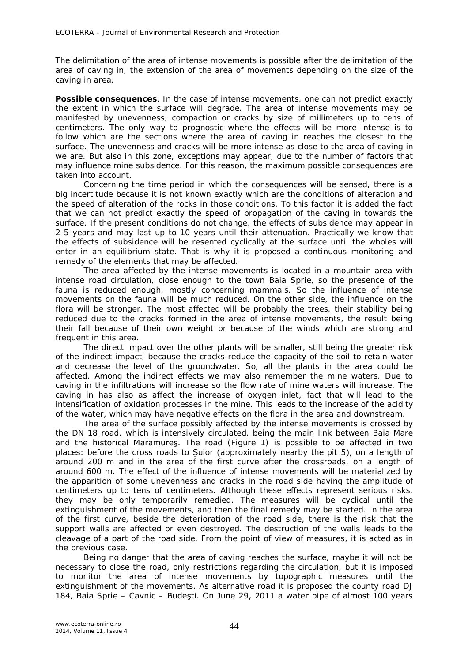The delimitation of the area of intense movements is possible after the delimitation of the area of caving in, the extension of the area of movements depending on the size of the caving in area.

**Possible consequences**. In the case of intense movements, one can not predict exactly the extent in which the surface will degrade. The area of intense movements may be manifested by unevenness, compaction or cracks by size of millimeters up to tens of centimeters. The only way to prognostic where the effects will be more intense is to follow which are the sections where the area of caving in reaches the closest to the surface. The unevenness and cracks will be more intense as close to the area of caving in we are. But also in this zone, exceptions may appear, due to the number of factors that may influence mine subsidence. For this reason, the maximum possible consequences are taken into account.

Concerning the time period in which the consequences will be sensed, there is a big incertitude because it is not known exactly which are the conditions of alteration and the speed of alteration of the rocks in those conditions. To this factor it is added the fact that we can not predict exactly the speed of propagation of the caving in towards the surface. If the present conditions do not change, the effects of subsidence may appear in 2-5 years and may last up to 10 years until their attenuation. Practically we know that the effects of subsidence will be resented cyclically at the surface until the wholes will enter in an equilibrium state. That is why it is proposed a continuous monitoring and remedy of the elements that may be affected.

The area affected by the intense movements is located in a mountain area with intense road circulation, close enough to the town Baia Sprie, so the presence of the fauna is reduced enough, mostly concerning mammals. So the influence of intense movements on the fauna will be much reduced. On the other side, the influence on the flora will be stronger. The most affected will be probably the trees, their stability being reduced due to the cracks formed in the area of intense movements, the result being their fall because of their own weight or because of the winds which are strong and frequent in this area.

The direct impact over the other plants will be smaller, still being the greater risk of the indirect impact, because the cracks reduce the capacity of the soil to retain water and decrease the level of the groundwater. So, all the plants in the area could be affected. Among the indirect effects we may also remember the mine waters. Due to caving in the infiltrations will increase so the flow rate of mine waters will increase. The caving in has also as affect the increase of oxygen inlet, fact that will lead to the intensification of oxidation processes in the mine. This leads to the increase of the acidity of the water, which may have negative effects on the flora in the area and downstream.

The area of the surface possibly affected by the intense movements is crossed by the DN 18 road, which is intensively circulated, being the main link between Baia Mare and the historical Maramureş. The road (Figure 1) is possible to be affected in two places: before the cross roads to Şuior (approximately nearby the pit 5), on a length of around 200 m and in the area of the first curve after the crossroads, on a length of around 600 m. The effect of the influence of intense movements will be materialized by the apparition of some unevenness and cracks in the road side having the amplitude of centimeters up to tens of centimeters. Although these effects represent serious risks, they may be only temporarily remedied. The measures will be cyclical until the extinguishment of the movements, and then the final remedy may be started. In the area of the first curve, beside the deterioration of the road side, there is the risk that the support walls are affected or even destroyed. The destruction of the walls leads to the cleavage of a part of the road side. From the point of view of measures, it is acted as in the previous case.

Being no danger that the area of caving reaches the surface, maybe it will not be necessary to close the road, only restrictions regarding the circulation, but it is imposed to monitor the area of intense movements by topographic measures until the extinguishment of the movements. As alternative road it is proposed the county road DJ 184, Baia Sprie – Cavnic – Budeşti. On June 29, 2011 a water pipe of almost 100 years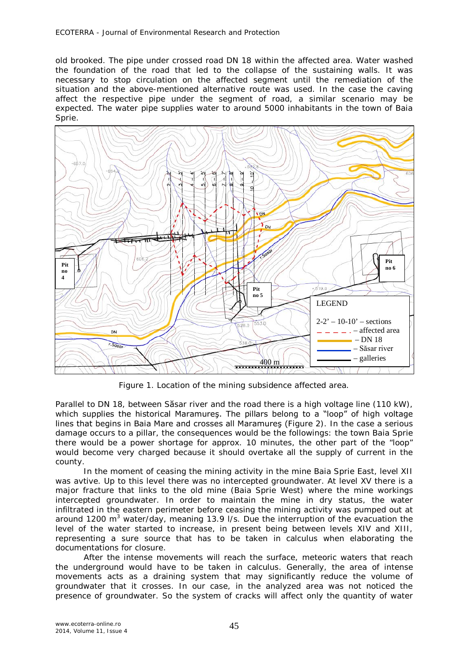old brooked. The pipe under crossed road DN 18 within the affected area. Water washed the foundation of the road that led to the collapse of the sustaining walls. It was necessary to stop circulation on the affected segment until the remediation of the situation and the above-mentioned alternative route was used. In the case the caving affect the respective pipe under the segment of road, a similar scenario may be expected. The water pipe supplies water to around 5000 inhabitants in the town of Baia Sprie.



Figure 1. Location of the mining subsidence affected area.

Parallel to DN 18, between Săsar river and the road there is a high voltage line (110 kW), which supplies the historical Maramures. The pillars belong to a "loop" of high voltage lines that begins in Baia Mare and crosses all Maramureş (Figure 2). In the case a serious damage occurs to a pillar, the consequences would be the followings: the town Baia Sprie there would be a power shortage for approx. 10 minutes, the other part of the "loop" would become very charged because it should overtake all the supply of current in the county.

In the moment of ceasing the mining activity in the mine Baia Sprie East, level XII was avtive. Up to this level there was no intercepted groundwater. At level XV there is a major fracture that links to the old mine (Baia Sprie West) where the mine workings intercepted groundwater. In order to maintain the mine in dry status, the water infiltrated in the eastern perimeter before ceasing the mining activity was pumped out at around 1200 m<sup>3</sup> water/day, meaning 13.9 I/s. Due the interruption of the evacuation the level of the water started to increase, in present being between levels XIV and XIII, representing a sure source that has to be taken in calculus when elaborating the documentations for closure.

After the intense movements will reach the surface, meteoric waters that reach the underground would have to be taken in calculus. Generally, the area of intense movements acts as a draining system that may significantly reduce the volume of groundwater that it crosses. In our case, in the analyzed area was not noticed the presence of groundwater. So the system of cracks will affect only the quantity of water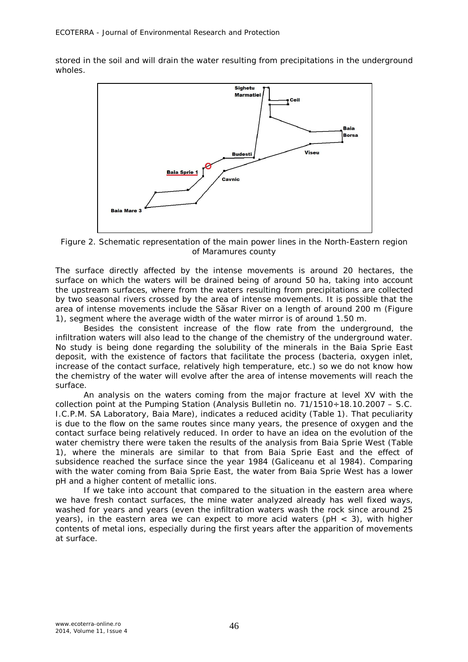stored in the soil and will drain the water resulting from precipitations in the underground wholes.



Figure 2. Schematic representation of the main power lines in the North-Eastern region of Maramures county

The surface directly affected by the intense movements is around 20 hectares, the surface on which the waters will be drained being of around 50 ha, taking into account the upstream surfaces, where from the waters resulting from precipitations are collected by two seasonal rivers crossed by the area of intense movements. It is possible that the area of intense movements include the Săsar River on a length of around 200 m (Figure 1), segment where the average width of the water mirror is of around 1.50 m.

Besides the consistent increase of the flow rate from the underground, the infiltration waters will also lead to the change of the chemistry of the underground water. No study is being done regarding the solubility of the minerals in the Baia Sprie East deposit, with the existence of factors that facilitate the process (bacteria, oxygen inlet, increase of the contact surface, relatively high temperature, etc.) so we do not know how the chemistry of the water will evolve after the area of intense movements will reach the surface.

An analysis on the waters coming from the major fracture at level XV with the collection point at the Pumping Station (Analysis Bulletin no.  $71/1510 \div 18.10.2007 - S.C.$ I.C.P.M. SA Laboratory, Baia Mare), indicates a reduced acidity (Table 1). That peculiarity is due to the flow on the same routes since many years, the presence of oxygen and the contact surface being relatively reduced. In order to have an idea on the evolution of the water chemistry there were taken the results of the analysis from Baia Sprie West (Table 1), where the minerals are similar to that from Baia Sprie East and the effect of subsidence reached the surface since the year 1984 (Galiceanu et al 1984). Comparing with the water coming from Baia Sprie East, the water from Baia Sprie West has a lower pH and a higher content of metallic ions.

If we take into account that compared to the situation in the eastern area where we have fresh contact surfaces, the mine water analyzed already has well fixed ways, washed for years and years (even the infiltration waters wash the rock since around 25 years), in the eastern area we can expect to more acid waters ( $pH < 3$ ), with higher contents of metal ions, especially during the first years after the apparition of movements at surface.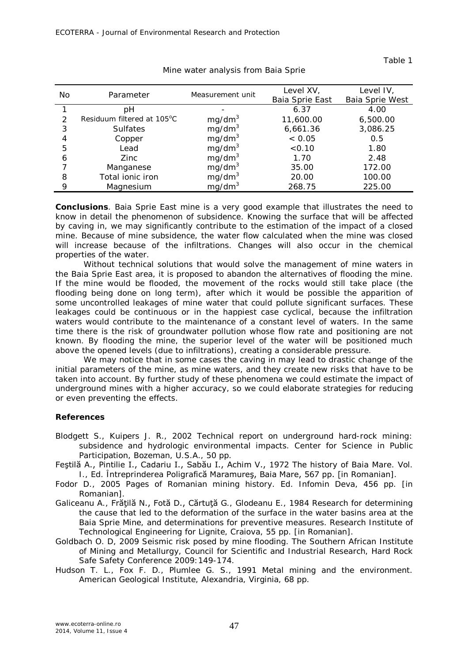| Νo            | Parameter                  | Measurement unit   | Level XV,       | Level IV,       |
|---------------|----------------------------|--------------------|-----------------|-----------------|
|               |                            |                    | Baia Sprie East | Baia Sprie West |
|               | рH                         |                    | 6.37            | 4.00            |
| $\mathcal{P}$ | Residuum filtered at 105°C | mg/dm <sup>3</sup> | 11,600.00       | 6,500.00        |
| 3             | <b>Sulfates</b>            | mg/dm <sup>3</sup> | 6,661.36        | 3,086.25        |
|               | Copper                     | mg/dm <sup>3</sup> | < 0.05          | 0.5             |
| 5             | Lead                       | mg/dm <sup>3</sup> | < 0.10          | 1.80            |
| 6             | Zinc                       | mg/dm <sup>3</sup> | 1.70            | 2.48            |
|               | Manganese                  | mg/dm <sup>3</sup> | 35.00           | 172.00          |
| 8             | Total ionic iron           | mg/dm <sup>3</sup> | 20.00           | 100.00          |
| 9             | Magnesium                  | mq/dm <sup>3</sup> | 268.75          | 225.00          |

Mine water analysis from Baia Sprie

**Conclusions**. Baia Sprie East mine is a very good example that illustrates the need to know in detail the phenomenon of subsidence. Knowing the surface that will be affected by caving in, we may significantly contribute to the estimation of the impact of a closed mine. Because of mine subsidence, the water flow calculated when the mine was closed will increase because of the infiltrations. Changes will also occur in the chemical properties of the water.

Without technical solutions that would solve the management of mine waters in the Baia Sprie East area, it is proposed to abandon the alternatives of flooding the mine. If the mine would be flooded, the movement of the rocks would still take place (the flooding being done on long term), after which it would be possible the apparition of some uncontrolled leakages of mine water that could pollute significant surfaces. These leakages could be continuous or in the happiest case cyclical, because the infiltration waters would contribute to the maintenance of a constant level of waters. In the same time there is the risk of groundwater pollution whose flow rate and positioning are not known. By flooding the mine, the superior level of the water will be positioned much above the opened levels (due to infiltrations), creating a considerable pressure.

We may notice that in some cases the caving in may lead to drastic change of the initial parameters of the mine, as mine waters, and they create new risks that have to be taken into account. By further study of these phenomena we could estimate the impact of underground mines with a higher accuracy, so we could elaborate strategies for reducing or even preventing the effects.

## **References**

- Blodgett S., Kuipers J. R., 2002 Technical report on underground hard-rock mining: subsidence and hydrologic environmental impacts. Center for Science in Public Participation, Bozeman, U.S.A., 50 pp.
- Feştilă A., Pintilie I., Cadariu I., Sabău I., Achim V., 1972 The history of Baia Mare. Vol. I., Ed. Întreprinderea Poligrafică Maramureş, Baia Mare, 567 pp. [in Romanian].
- Fodor D., 2005 Pages of Romanian mining history. Ed. Infomin Deva, 456 pp. [in Romanian].
- Galiceanu A., Frățilă N., Fotă D., Cărtuță G., Glodeanu E., 1984 Research for determining the cause that led to the deformation of the surface in the water basins area at the Baia Sprie Mine, and determinations for preventive measures. Research Institute of Technological Engineering for Lignite, Craiova, 55 pp. [in Romanian].
- Goldbach O. D, 2009 Seismic risk posed by mine flooding. The Southern African Institute of Mining and Metallurgy, Council for Scientific and Industrial Research, Hard Rock Safe Safety Conference 2009:149-174.
- Hudson T. L., Fox F. D., Plumlee G. S., 1991 Metal mining and the environment. American Geological Institute, Alexandria, Virginia, 68 pp.